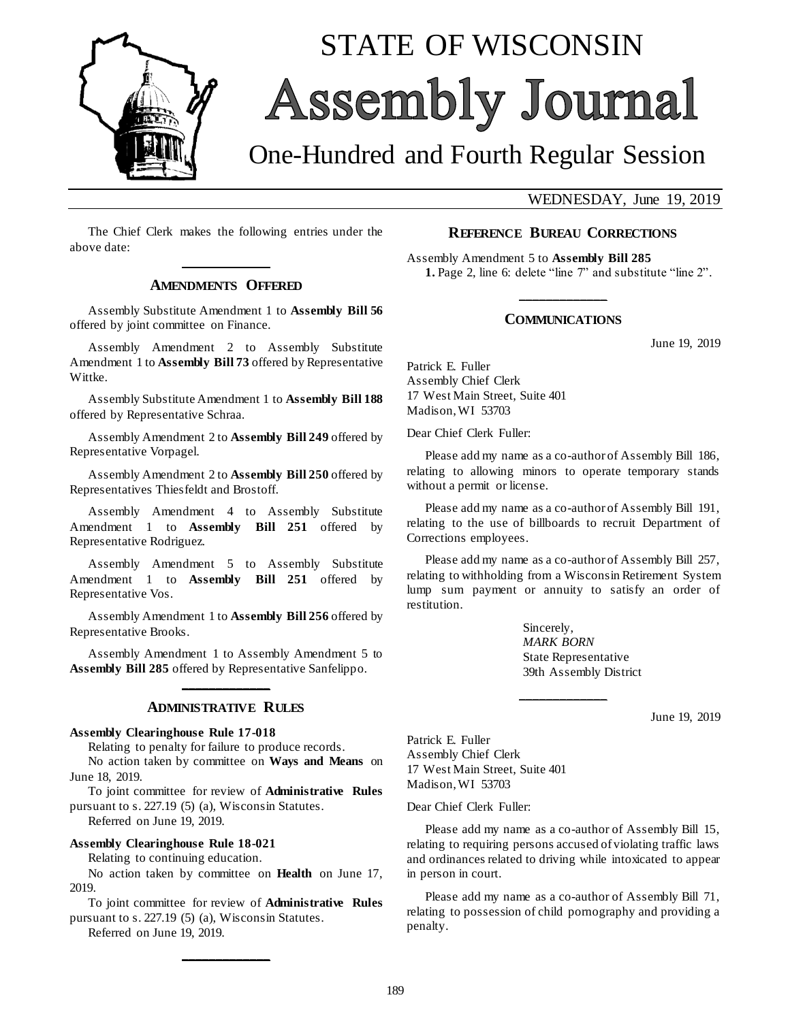

# STATE OF WISCONSIN Assembly Journal

## One-Hundred and Fourth Regular Session

WEDNESDAY, June 19, 2019

The Chief Clerk makes the following entries under the above date: **\_\_\_\_\_\_\_\_\_\_\_\_\_**

#### **AMENDMENTS OFFERED**

Assembly Substitute Amendment 1 to **Assembly Bill 56** offered by joint committee on Finance.

Assembly Amendment 2 to Assembly Substitute Amendment 1 to **Assembly Bill 73** offered by Representative Wittke.

Assembly Substitute Amendment 1 to **Assembly Bill 188** offered by Representative Schraa.

Assembly Amendment 2 to **Assembly Bill 249** offered by Representative Vorpagel.

Assembly Amendment 2 to **Assembly Bill 250** offered by Representatives Thiesfeldt and Brostoff.

Assembly Amendment 4 to Assembly Substitute Amendment 1 to **Assembly Bill 251** offered by Representative Rodriguez.

Assembly Amendment 5 to Assembly Substitute Amendment 1 to **Assembly Bill 251** offered by Representative Vos.

Assembly Amendment 1 to **Assembly Bill 256** offered by Representative Brooks.

Assembly Amendment 1 to Assembly Amendment 5 to **Assembly Bill 285** offered by Representative Sanfelippo. **\_\_\_\_\_\_\_\_\_\_\_\_\_**

#### **ADMINISTRATIVE RULES**

#### **Assembly Clearinghouse Rule 17-018**

Relating to penalty for failure to produce records.

No action taken by committee on **Ways and Means** on June 18, 2019.

To joint committee for review of **Administrative Rules** pursuant to s. 227.19 (5) (a), Wisconsin Statutes.

Referred on June 19, 2019.

**Assembly Clearinghouse Rule 18-021**

Relating to continuing education.

No action taken by committee on **Health** on June 17, 2019.

To joint committee for review of **Administrative Rules** pursuant to s. 227.19 (5) (a), Wisconsin Statutes.

**\_\_\_\_\_\_\_\_\_\_\_\_\_**

Referred on June 19, 2019.

#### **REFERENCE BUREAU CORRECTIONS**

Assembly Amendment 5 to **Assembly Bill 285 1.** Page 2, line 6: delete "line 7" and substitute "line 2".

### **\_\_\_\_\_\_\_\_\_\_\_\_\_ COMMUNICATIONS**

June 19, 2019

Patrick E. Fuller Assembly Chief Clerk 17 West Main Street, Suite 401 Madison, WI 53703

Dear Chief Clerk Fuller:

Please add my name as a co-author of Assembly Bill 186, relating to allowing minors to operate temporary stands without a permit or license.

Please add my name as a co-author of Assembly Bill 191, relating to the use of billboards to recruit Department of Corrections employees.

Please add my name as a co-author of Assembly Bill 257, relating to withholding from a Wisconsin Retirement System lump sum payment or annuity to satisfy an order of restitution.

**\_\_\_\_\_\_\_\_\_\_\_\_\_**

Sincerely, *MARK BORN* State Representative 39th Assembly District

June 19, 2019

Patrick E. Fuller Assembly Chief Clerk 17 West Main Street, Suite 401 Madison, WI 53703

Dear Chief Clerk Fuller:

Please add my name as a co-author of Assembly Bill 15, relating to requiring persons accused of violating traffic laws and ordinances related to driving while intoxicated to appear in person in court.

Please add my name as a co-author of Assembly Bill 71, relating to possession of child pornography and providing a penalty.